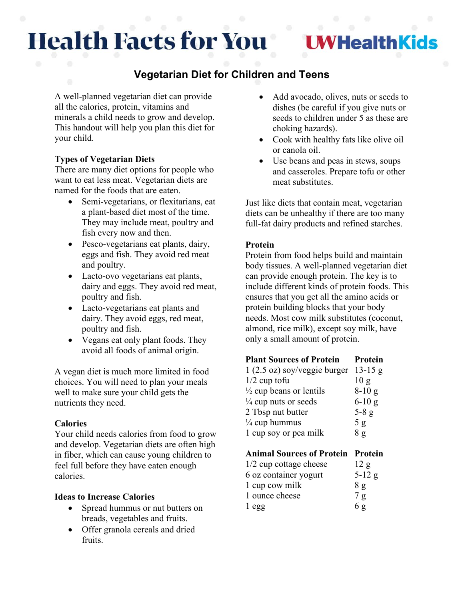# **Health Facts for You**

**I WHealthKids** 

# **Vegetarian Diet for Children and Teens**

A well-planned vegetarian diet can provide all the calories, protein, vitamins and minerals a child needs to grow and develop. This handout will help you plan this diet for your child.

## **Types of Vegetarian Diets**

There are many diet options for people who want to eat less meat. Vegetarian diets are named for the foods that are eaten.

- Semi-vegetarians, or flexitarians, eat a plant-based diet most of the time. They may include meat, poultry and fish every now and then.
- Pesco-vegetarians eat plants, dairy, eggs and fish. They avoid red meat and poultry.
- Lacto-ovo vegetarians eat plants, dairy and eggs. They avoid red meat, poultry and fish.
- Lacto-vegetarians eat plants and dairy. They avoid eggs, red meat, poultry and fish.
- Vegans eat only plant foods. They avoid all foods of animal origin.

A vegan diet is much more limited in food choices. You will need to plan your meals well to make sure your child gets the nutrients they need.

### **Calories**

Your child needs calories from food to grow and develop. Vegetarian diets are often high in fiber, which can cause young children to feel full before they have eaten enough calories.

### **Ideas to Increase Calories**

- Spread hummus or nut butters on breads, vegetables and fruits.
- Offer granola cereals and dried fruits.
- Add avocado, olives, nuts or seeds to dishes (be careful if you give nuts or seeds to children under 5 as these are choking hazards).
- Cook with healthy fats like olive oil or canola oil.
- Use beans and peas in stews, soups and casseroles. Prepare tofu or other meat substitutes.

Just like diets that contain meat, vegetarian diets can be unhealthy if there are too many full-fat dairy products and refined starches.

# **Protein**

Protein from food helps build and maintain body tissues. A well-planned vegetarian diet can provide enough protein. The key is to include different kinds of protein foods. This ensures that you get all the amino acids or protein building blocks that your body needs. Most cow milk substitutes (coconut, almond, rice milk), except soy milk, have only a small amount of protein.

#### **Plant Sources of Protein Protein**

| $1(2.5 \text{ oz})$ soy/veggie burger 13-15 g |          |
|-----------------------------------------------|----------|
| $1/2$ cup tofu                                | 10g      |
| $\frac{1}{2}$ cup beans or lentils            | $8-10g$  |
| $\frac{1}{4}$ cup nuts or seeds               | $6-10$ g |
| 2 Tbsp nut butter                             | $5-8$ g  |
| $\frac{1}{4}$ cup hummus                      | 5g       |
| 1 cup soy or pea milk                         | 8g       |

# **Animal Sources of Protein Protein**

| $1/2$ cup cottage cheese | 12 g     |
|--------------------------|----------|
| 6 oz container yogurt    | $5-12$ g |
| 1 cup cow milk           | 8 g      |
| 1 ounce cheese           | 7g       |
| 1egg                     | 6g       |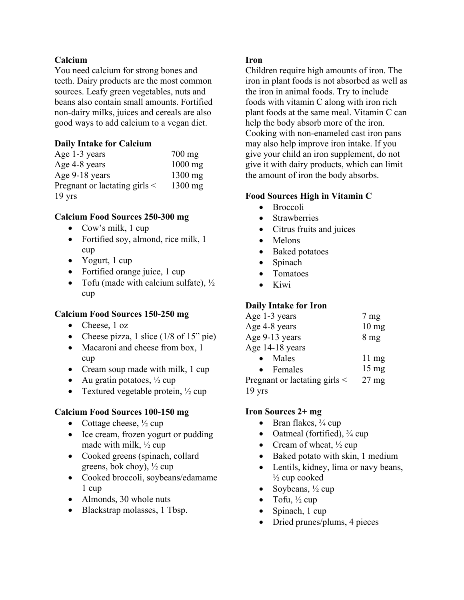#### **Calcium**

You need calcium for strong bones and teeth. Dairy products are the most common sources. Leafy green vegetables, nuts and beans also contain small amounts. Fortified non-dairy milks, juices and cereals are also good ways to add calcium to a vegan diet.

#### **Daily Intake for Calcium**

| Age 1-3 years                      | $700 \text{ mg}$ |
|------------------------------------|------------------|
| Age 4-8 years                      | $1000$ mg        |
| Age 9-18 years                     | $1300$ mg        |
| Pregnant or lactating girls $\leq$ | $1300$ mg        |
| $19 \text{ yrs}$                   |                  |

#### **Calcium Food Sources 250-300 mg**

- Cow's milk, 1 cup
- Fortified soy, almond, rice milk, 1 cup
- Yogurt, 1 cup
- Fortified orange juice, 1 cup
- Tofu (made with calcium sulfate),  $\frac{1}{2}$ cup

#### **Calcium Food Sources 150-250 mg**

- Cheese, 1 oz
- Cheese pizza, 1 slice  $(1/8 \text{ of } 15" \text{ pie})$
- Macaroni and cheese from box, 1 cup
- Cream soup made with milk, 1 cup
- Au gratin potatoes,  $\frac{1}{2}$  cup
- Textured vegetable protein,  $\frac{1}{2}$  cup

#### **Calcium Food Sources 100-150 mg**

- Cottage cheese,  $\frac{1}{2}$  cup
- Ice cream, frozen yogurt or pudding made with milk, ½ cup
- Cooked greens (spinach, collard greens, bok choy),  $\frac{1}{2}$  cup
- Cooked broccoli, soybeans/edamame 1 cup
- Almonds, 30 whole nuts
- Blackstrap molasses, 1 Tbsp.

#### **Iron**

Children require high amounts of iron. The iron in plant foods is not absorbed as well as the iron in animal foods. Try to include foods with vitamin C along with iron rich plant foods at the same meal. Vitamin C can help the body absorb more of the iron. Cooking with non-enameled cast iron pans may also help improve iron intake. If you give your child an iron supplement, do not give it with dairy products, which can limit the amount of iron the body absorbs.

#### **Food Sources High in Vitamin C**

- Broccoli
- Strawberries
- Citrus fruits and juices
- Melons
- Baked potatoes
- Spinach
- Tomatoes
- Kiwi

#### **Daily Intake for Iron**

| Age 1-3 years                 | $7 \text{ mg}$  |
|-------------------------------|-----------------|
| Age 4-8 years                 | $10 \text{ mg}$ |
| Age 9-13 years                | 8 <sub>mg</sub> |
| Age 14-18 years               |                 |
| Males                         | $11 \text{ mg}$ |
| Females                       | $15 \text{ mg}$ |
| Pregnant or lactating girls < | $27 \text{ mg}$ |
| $19$ yrs                      |                 |

#### **Iron Sources 2+ mg**

- Bran flakes,  $\frac{3}{4}$  cup
- Oatmeal (fortified), ¾ cup
- Cream of wheat,  $\frac{1}{2}$  cup
- Baked potato with skin, 1 medium
- Lentils, kidney, lima or navy beans,  $\frac{1}{2}$  cup cooked
- Soybeans,  $\frac{1}{2}$  cup
- Tofu,  $\frac{1}{2}$  cup
- Spinach, 1 cup
- Dried prunes/plums, 4 pieces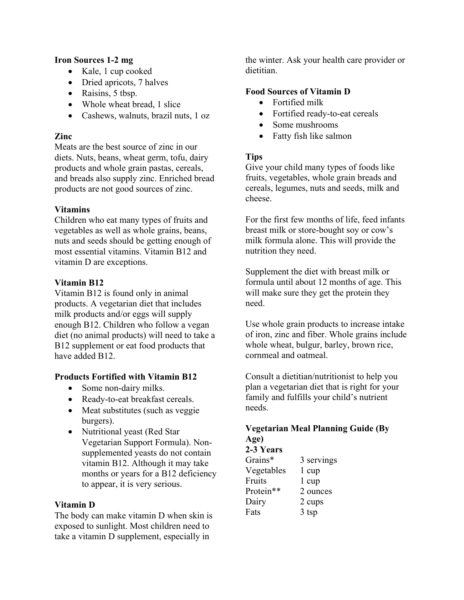#### **Iron Sources 1-2 mg**

- Kale, 1 cup cooked
- Dried apricots, 7 halves
- Raisins, 5 tbsp.
- Whole wheat bread, 1 slice
- Cashews, walnuts, brazil nuts, 1 oz

#### **Zinc**

Meats are the best source of zinc in our diets. Nuts, beans, wheat germ, tofu, dairy products and whole grain pastas, cereals, and breads also supply zinc. Enriched bread products are not good sources of zinc.

#### **Vitamins**

Children who eat many types of fruits and vegetables as well as whole grains, beans, nuts and seeds should be getting enough of most essential vitamins. Vitamin B12 and vitamin D are exceptions.

#### **Vitamin B12**

Vitamin B12 is found only in animal products. A vegetarian diet that includes milk products and/or eggs will supply enough B12. Children who follow a vegan diet (no animal products) will need to take a B12 supplement or eat food products that have added B12.

### **Products Fortified with Vitamin B12**

- Some non-dairy milks.
- Ready-to-eat breakfast cereals.
- Meat substitutes (such as veggie) burgers).
- Nutritional yeast (Red Star Vegetarian Support Formula). Nonsupplemented yeasts do not contain vitamin B12. Although it may take months or years for a B12 deficiency to appear, it is very serious.

#### **Vitamin D**

The body can make vitamin D when skin is exposed to sunlight. Most children need to take a vitamin D supplement, especially in

the winter. Ask your health care provider or dietitian.

#### **Food Sources of Vitamin D**

- Fortified milk
- Fortified ready-to-eat cereals
- Some mushrooms
- Fatty fish like salmon

#### **Tips**

Give your child many types of foods like fruits, vegetables, whole grain breads and cereals, legumes, nuts and seeds, milk and cheese.

For the first few months of life, feed infants breast milk or store-bought soy or cow's milk formula alone. This will provide the nutrition they need.

Supplement the diet with breast milk or formula until about 12 months of age. This will make sure they get the protein they need.

Use whole grain products to increase intake of iron, zinc and fiber. Whole grains include whole wheat, bulgur, barley, brown rice, cornmeal and oatmeal.

Consult a dietitian/nutritionist to help you plan a vegetarian diet that is right for your family and fulfills your child's nutrient needs.

# **Vegetarian Meal Planning Guide (By Age)**

| Grains*    | 3 servings       |
|------------|------------------|
| Vegetables | $1 \text{ cup}$  |
| Fruits     | $1 \text{ cup}$  |
| Protein**  | 2 ounces         |
| Dairy      | 2 cups           |
| Fats       | 3 <sub>tsp</sub> |